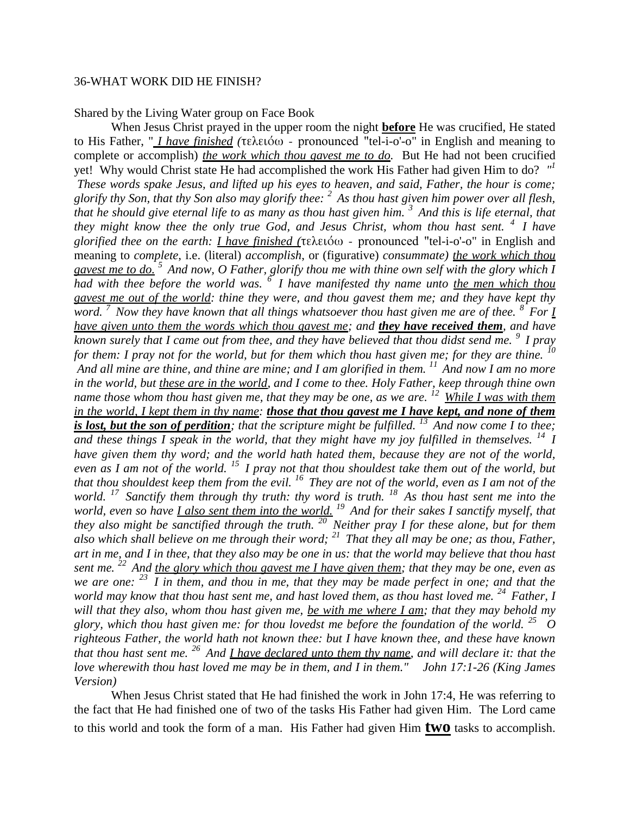## 36-WHAT WORK DID HE FINISH?

Shared by the Living Water group on Face Book

When Jesus Christ prayed in the upper room the night **before** He was crucified, He stated to His Father, " *I have finished (*τελειόω - pronounced "tel-i-o'-o" in English and meaning to complete or accomplish) *the work which thou gavest me to do.* But He had not been crucified yet! Why would Christ state He had accomplished the work His Father had given Him to do? *" 1 These words spake Jesus, and lifted up his eyes to heaven, and said, Father, the hour is come; glorify thy Son, that thy Son also may glorify thee: <sup>2</sup>As thou hast given him power over all flesh, that he should give eternal life to as many as thou hast given him. <sup>3</sup>And this is life eternal, that they might know thee the only true God, and Jesus Christ, whom thou hast sent. <sup>4</sup>I have glorified thee on the earth: I have finished (*τελειόω - pronounced "tel-i-o'-o" in English and meaning to *complete*, i.e. (literal) *accomplish*, or (figurative) *consummate) the work which thou gavest me to do. <sup>5</sup>And now, O Father, glorify thou me with thine own self with the glory which I had with thee before the world was. <sup>6</sup>I have manifested thy name unto the men which thou gavest me out of the world: thine they were, and thou gavest them me; and they have kept thy word. <sup>7</sup>Now they have known that all things whatsoever thou hast given me are of thee. <sup>8</sup>For I have given unto them the words which thou gavest me; and they have received them, and have known surely that I came out from thee, and they have believed that thou didst send me. <sup>9</sup>I pray for them: I pray not for the world, but for them which thou hast given me; for they are thine.* <sup>*10*</sup> *And all mine are thine, and thine are mine; and I am glorified in them. <sup>11</sup>And now I am no more in the world, but these are in the world, and I come to thee. Holy Father, keep through thine own name those whom thou hast given me, that they may be one, as we are.* <sup>12</sup> *While I was with them in the world, I kept them in thy name: those that thou gavest me I have kept, and none of them is lost, but the son of perdition; that the scripture might be fulfilled.* <sup>13</sup> And now come I to thee; *and these things I speak in the world, that they might have my joy fulfilled in themselves. <sup>14</sup>I have given them thy word; and the world hath hated them, because they are not of the world, even as I am not of the world. <sup>15</sup>I pray not that thou shouldest take them out of the world, but that thou shouldest keep them from the evil. <sup>16</sup>They are not of the world, even as I am not of the world. <sup>17</sup>Sanctify them through thy truth: thy word is truth. <sup>18</sup>As thou hast sent me into the world, even so have I also sent them into the world. <sup>19</sup>And for their sakes I sanctify myself, that they also might be sanctified through the truth. <sup>20</sup>Neither pray I for these alone, but for them also which shall believe on me through their word; <sup>21</sup>That they all may be one; as thou, Father, art in me, and I in thee, that they also may be one in us: that the world may believe that thou hast sent me. <sup>22</sup>And the glory which thou gavest me I have given them; that they may be one, even as we are one: <sup>23</sup>I in them, and thou in me, that they may be made perfect in one; and that the world may know that thou hast sent me, and hast loved them, as thou hast loved me.* <sup>24</sup> *Father, I will that they also, whom thou hast given me, be with me where I am; that they may behold my glory, which thou hast given me: for thou lovedst me before the foundation of the world. <sup>25</sup>O righteous Father, the world hath not known thee: but I have known thee, and these have known that thou hast sent me. <sup>26</sup>And I have declared unto them thy name, and will declare it: that the love wherewith thou hast loved me may be in them, and I in them." John 17:1-26 (King James Version)* 

When Jesus Christ stated that He had finished the work in John 17:4, He was referring to the fact that He had finished one of two of the tasks His Father had given Him. The Lord came to this world and took the form of a man. His Father had given Him **two** tasks to accomplish.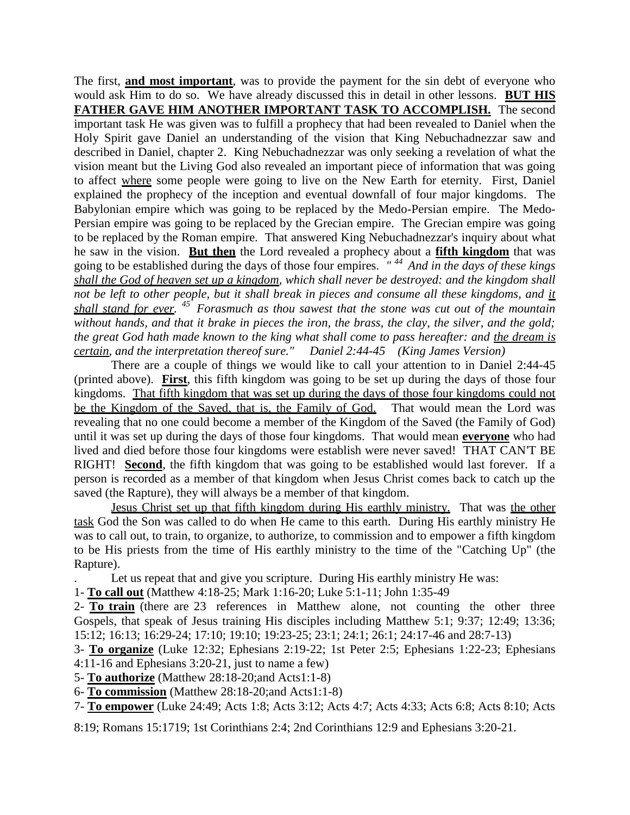The first, **and most important**, was to provide the payment for the sin debt of everyone who would ask Him to do so. We have already discussed this in detail in other lessons. **BUT HIS FATHER GAVE HIM ANOTHER IMPORTANT TASK TO ACCOMPLISH.** The second important task He was given was to fulfill a prophecy that had been revealed to Daniel when the Holy Spirit gave Daniel an understanding of the vision that King Nebuchadnezzar saw and described in Daniel, chapter 2. King Nebuchadnezzar was only seeking a revelation of what the vision meant but the Living God also revealed an important piece of information that was going to affect where some people were going to live on the New Earth for eternity. First, Daniel explained the prophecy of the inception and eventual downfall of four major kingdoms. The Babylonian empire which was going to be replaced by the Medo-Persian empire. The Medo-Persian empire was going to be replaced by the Grecian empire. The Grecian empire was going to be replaced by the Roman empire. That answered King Nebuchadnezzar's inquiry about what he saw in the vision. **But then** the Lord revealed a prophecy about a **fifth kingdom** that was going to be established during the days of those four empires. *" <sup>44</sup>And in the days of these kings shall the God of heaven set up a kingdom, which shall never be destroyed: and the kingdom shall not be left to other people, but it shall break in pieces and consume all these kingdoms, and it shall stand for ever. <sup>45</sup>Forasmuch as thou sawest that the stone was cut out of the mountain without hands, and that it brake in pieces the iron, the brass, the clay, the silver, and the gold; the great God hath made known to the king what shall come to pass hereafter: and the dream is certain, and the interpretation thereof sure." Daniel 2:44-45 (King James Version)*

There are a couple of things we would like to call your attention to in Daniel 2:44-45 (printed above). **First**, this fifth kingdom was going to be set up during the days of those four kingdoms. That fifth kingdom that was set up during the days of those four kingdoms could not be the Kingdom of the Saved, that is, the Family of God. That would mean the Lord was revealing that no one could become a member of the Kingdom of the Saved (the Family of God) until it was set up during the days of those four kingdoms. That would mean **everyone** who had lived and died before those four kingdoms were establish were never saved! THAT CAN'T BE RIGHT! **Second**, the fifth kingdom that was going to be established would last forever. If a person is recorded as a member of that kingdom when Jesus Christ comes back to catch up the saved (the Rapture), they will always be a member of that kingdom.

Jesus Christ set up that fifth kingdom during His earthly ministry. That was the other task God the Son was called to do when He came to this earth. During His earthly ministry He was to call out, to train, to organize, to authorize, to commission and to empower a fifth kingdom to be His priests from the time of His earthly ministry to the time of the "Catching Up" (the Rapture).

. Let us repeat that and give you scripture. During His earthly ministry He was:

1- **To call out** (Matthew 4:18-25; Mark 1:16-20; Luke 5:1-11; John 1:35-49

2- **To train** (there are 23 references in Matthew alone, not counting the other three Gospels, that speak of Jesus training His disciples including Matthew 5:1; 9:37; 12:49; 13:36; 15:12; 16:13; 16:29-24; 17:10; 19:10; 19:23-25; 23:1; 24:1; 26:1; 24:17-46 and 28:7-13)

3- **To organize** (Luke 12:32; Ephesians 2:19-22; 1st Peter 2:5; Ephesians 1:22-23; Ephesians 4:11-16 and Ephesians 3:20-21, just to name a few)

5- **To authorize** (Matthew 28:18-20;and Acts1:1-8)

6- **To commission** (Matthew 28:18-20;and Acts1:1-8)

7- **To empower** (Luke 24:49; Acts 1:8; Acts 3:12; Acts 4:7; Acts 4:33; Acts 6:8; Acts 8:10; Acts

8:19; Romans 15:1719; 1st Corinthians 2:4; 2nd Corinthians 12:9 and Ephesians 3:20-21.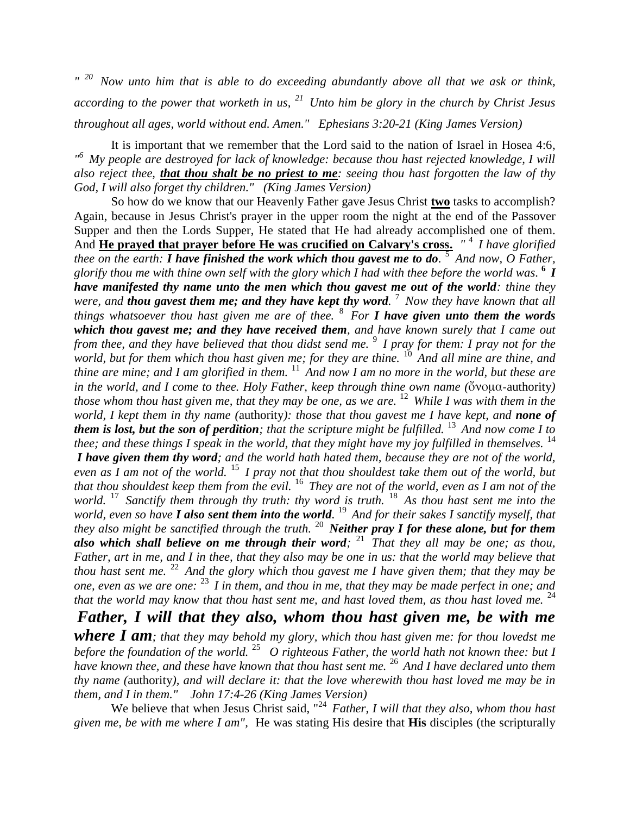*" <sup>20</sup>Now unto him that is able to do exceeding abundantly above all that we ask or think, according to the power that worketh in us, <sup>21</sup>Unto him be glory in the church by Christ Jesus throughout all ages, world without end. Amen." Ephesians 3:20-21 (King James Version)* 

It is important that we remember that the Lord said to the nation of Israel in Hosea 4:6, *" <sup>6</sup>My people are destroyed for lack of knowledge: because thou hast rejected knowledge, I will also reject thee, that thou shalt be no priest to me: seeing thou hast forgotten the law of thy God, I will also forget thy children." (King James Version)* 

So how do we know that our Heavenly Father gave Jesus Christ **two** tasks to accomplish? Again, because in Jesus Christ's prayer in the upper room the night at the end of the Passover Supper and then the Lords Supper, He stated that He had already accomplished one of them. And **He prayed that prayer before He was crucified on Calvary's cross.** *"* <sup>4</sup>*I have glorified thee on the earth: I have finished the work which thou gavest me to do.* <sup>5</sup>*And now, O Father, glorify thou me with thine own self with the glory which I had with thee before the world was.* **6** *I have manifested thy name unto the men which thou gavest me out of the world: thine they were, and thou gavest them me; and they have kept thy word.* <sup>7</sup>*Now they have known that all things whatsoever thou hast given me are of thee.* <sup>8</sup>*For I have given unto them the words which thou gavest me; and they have received them, and have known surely that I came out from thee, and they have believed that thou didst send me.* <sup>9</sup>*I pray for them: I pray not for the world, but for them which thou hast given me; for they are thine.* <sup>10</sup> And all mine are thine, and *thine are mine; and I am glorified in them.* <sup>11</sup> And now I am no more in the world, but these are *in the world, and I come to thee. Holy Father, keep through thine own name (*ὄνομα-authority*) those whom thou hast given me, that they may be one, as we are.* <sup>12</sup>*While I was with them in the world, I kept them in thy name (*authority*): those that thou gavest me I have kept, and none of them is lost, but the son of perdition; that the scripture might be fulfilled.* <sup>13</sup> And now come I to *thee; and these things I speak in the world, that they might have my joy fulfilled in themselves.* <sup>14</sup> *I have given them thy word; and the world hath hated them, because they are not of the world, even as I am not of the world.* <sup>15</sup>*I pray not that thou shouldest take them out of the world, but that thou shouldest keep them from the evil.* <sup>16</sup>*They are not of the world, even as I am not of the world.* <sup>17</sup>*Sanctify them through thy truth: thy word is truth.* <sup>18</sup>*As thou hast sent me into the*  world, even so have *I* **also sent them into the world.** <sup>19</sup> And for their sakes *I* sanctify myself, that *they also might be sanctified through the truth.* <sup>20</sup>*Neither pray I for these alone, but for them also which shall believe on me through their word;* <sup>21</sup>*That they all may be one; as thou, Father, art in me, and I in thee, that they also may be one in us: that the world may believe that thou hast sent me.* <sup>22</sup> And the glory which thou gavest me I have given them; that they may be *one, even as we are one:* <sup>23</sup>*I in them, and thou in me, that they may be made perfect in one; and that the world may know that thou hast sent me, and hast loved them, as thou hast loved me.* <sup>24</sup>

*Father, I will that they also, whom thou hast given me, be with me where I am; that they may behold my glory, which thou hast given me: for thou lovedst me before the foundation of the world.* <sup>25</sup>*O righteous Father, the world hath not known thee: but I have known thee, and these have known that thou hast sent me.* <sup>26</sup>*And I have declared unto them thy name (*authority*), and will declare it: that the love wherewith thou hast loved me may be in them, and I in them." John 17:4-26 (King James Version)* 

We believe that when Jesus Christ said, "<sup>24</sup> Father, I will that they also, whom thou hast *given me, be with me where I am",* He was stating His desire that **His** disciples (the scripturally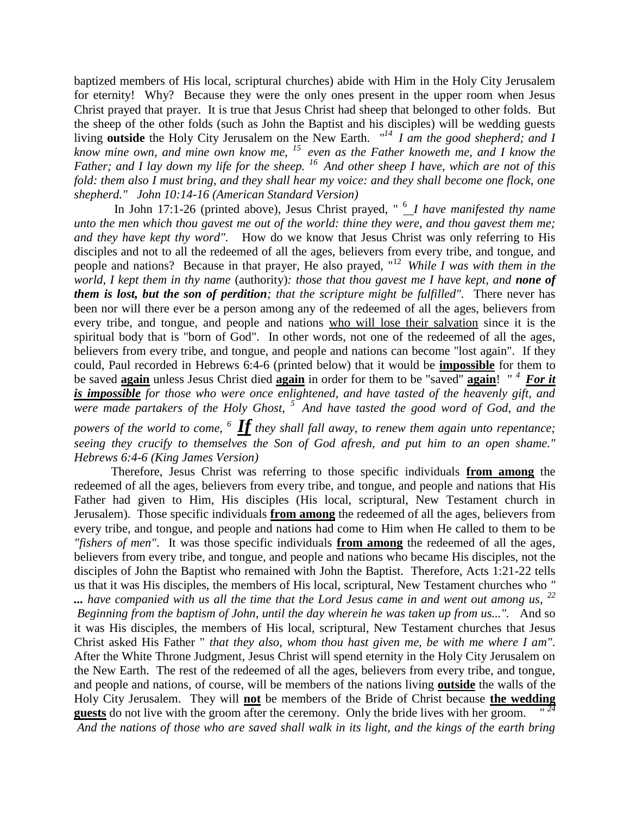baptized members of His local, scriptural churches) abide with Him in the Holy City Jerusalem for eternity! Why? Because they were the only ones present in the upper room when Jesus Christ prayed that prayer. It is true that Jesus Christ had sheep that belonged to other folds. But the sheep of the other folds (such as John the Baptist and his disciples) will be wedding guests living **outside** the Holy City Jerusalem on the New Earth. "<sup>14</sup> I am the good shepherd; and I *know mine own, and mine own know me, <sup>15</sup>even as the Father knoweth me, and I know the Father; and I lay down my life for the sheep. <sup>16</sup>And other sheep I have, which are not of this fold: them also I must bring, and they shall hear my voice: and they shall become one flock, one shepherd." John 10:14-16 (American Standard Version)*

In John 17:1-26 (printed above), Jesus Christ prayed, " <sup>6</sup> *I have manifested thy name unto the men which thou gavest me out of the world: thine they were, and thou gavest them me; and they have kept thy word".* How do we know that Jesus Christ was only referring to His disciples and not to all the redeemed of all the ages, believers from every tribe, and tongue, and people and nations? Because in that prayer, He also prayed, "<sup>12</sup>*While I was with them in the world, I kept them in thy name* (authority)*: those that thou gavest me I have kept, and none of them is lost, but the son of perdition; that the scripture might be fulfilled".* There never has been nor will there ever be a person among any of the redeemed of all the ages, believers from every tribe, and tongue, and people and nations who will lose their salvation since it is the spiritual body that is "born of God". In other words, not one of the redeemed of all the ages, believers from every tribe, and tongue, and people and nations can become "lost again". If they could, Paul recorded in Hebrews 6:4-6 (printed below) that it would be **impossible** for them to be saved **again** unless Jesus Christ died **again** in order for them to be "saved" **again**! " *<sup>4</sup>For it is impossible for those who were once enlightened, and have tasted of the heavenly gift, and were made partakers of the Holy Ghost, <sup>5</sup>And have tasted the good word of God, and the* 

*powers of the world to come, <sup>6</sup>If they shall fall away, to renew them again unto repentance; seeing they crucify to themselves the Son of God afresh, and put him to an open shame." Hebrews 6:4-6 (King James Version)* 

Therefore, Jesus Christ was referring to those specific individuals **from among** the redeemed of all the ages, believers from every tribe, and tongue, and people and nations that His Father had given to Him, His disciples (His local, scriptural, New Testament church in Jerusalem). Those specific individuals **from among** the redeemed of all the ages, believers from every tribe, and tongue, and people and nations had come to Him when He called to them to be *"fishers of men"*. It was those specific individuals **from among** the redeemed of all the ages, believers from every tribe, and tongue, and people and nations who became His disciples, not the disciples of John the Baptist who remained with John the Baptist. Therefore, Acts 1:21-22 tells us that it was His disciples, the members of His local, scriptural, New Testament churches who *" ... have companied with us all the time that the Lord Jesus came in and went out among us, <sup>22</sup> Beginning from the baptism of John, until the day wherein he was taken up from us...".* And so it was His disciples, the members of His local, scriptural, New Testament churches that Jesus Christ asked His Father " *that they also, whom thou hast given me, be with me where I am".*  After the White Throne Judgment*,* Jesus Christ will spend eternity in the Holy City Jerusalem on the New Earth. The rest of the redeemed of all the ages, believers from every tribe, and tongue, and people and nations, of course, will be members of the nations living **outside** the walls of the Holy City Jerusalem. They will **not** be members of the Bride of Christ because **the wedding guests** do not live with the groom after the ceremony. Only the bride lives with her groom. *" 24 And the nations of those who are saved shall walk in its light, and the kings of the earth bring*